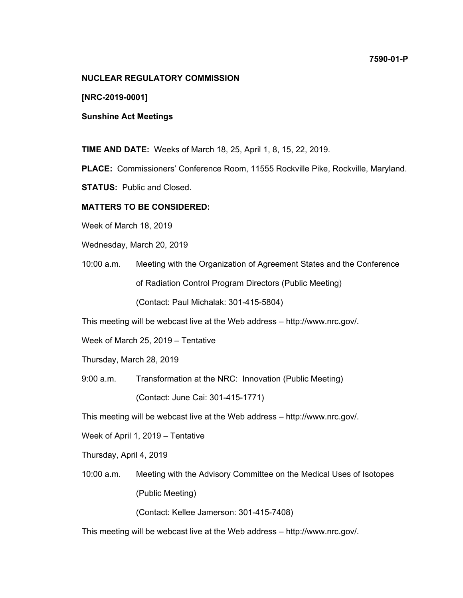## **NUCLEAR REGULATORY COMMISSION**

**[NRC-2019-0001]** 

**Sunshine Act Meetings** 

**TIME AND DATE:** Weeks of March 18, 25, April 1, 8, 15, 22, 2019.

**PLACE:** Commissioners' Conference Room, 11555 Rockville Pike, Rockville, Maryland.

**STATUS:** Public and Closed.

## **MATTERS TO BE CONSIDERED:**

Week of March 18, 2019

Wednesday, March 20, 2019

10:00 a.m. Meeting with the Organization of Agreement States and the Conference of Radiation Control Program Directors (Public Meeting)

(Contact: Paul Michalak: 301-415-5804)

This meeting will be webcast live at the Web address – http://www.nrc.gov/.

Week of March 25, 2019 – Tentative

Thursday, March 28, 2019

9:00 a.m. Transformation at the NRC: Innovation (Public Meeting)

(Contact: June Cai: 301-415-1771)

This meeting will be webcast live at the Web address – http://www.nrc.gov/.

Week of April 1, 2019 – Tentative

Thursday, April 4, 2019

10:00 a.m. Meeting with the Advisory Committee on the Medical Uses of Isotopes (Public Meeting)

(Contact: Kellee Jamerson: 301-415-7408)

This meeting will be webcast live at the Web address – http://www.nrc.gov/.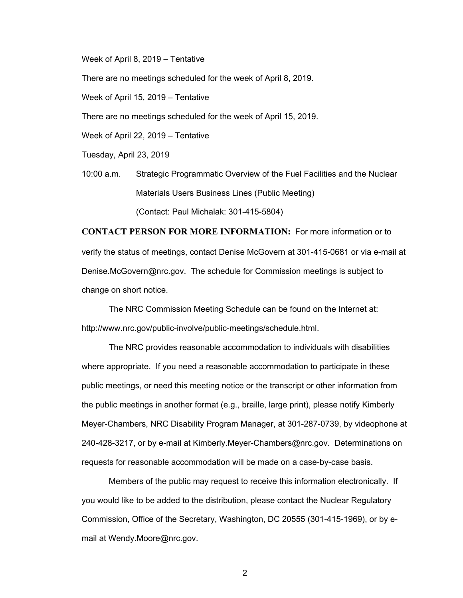Week of April 8, 2019 – Tentative

There are no meetings scheduled for the week of April 8, 2019.

Week of April 15, 2019 – Tentative

There are no meetings scheduled for the week of April 15, 2019.

Week of April 22, 2019 – Tentative

Tuesday, April 23, 2019

10:00 a.m. Strategic Programmatic Overview of the Fuel Facilities and the Nuclear Materials Users Business Lines (Public Meeting) (Contact: Paul Michalak: 301-415-5804)

**CONTACT PERSON FOR MORE INFORMATION:** For more information or to verify the status of meetings, contact Denise McGovern at 301-415-0681 or via e-mail at Denise.McGovern@nrc.gov. The schedule for Commission meetings is subject to change on short notice.

The NRC Commission Meeting Schedule can be found on the Internet at: http://www.nrc.gov/public-involve/public-meetings/schedule.html.

The NRC provides reasonable accommodation to individuals with disabilities where appropriate. If you need a reasonable accommodation to participate in these public meetings, or need this meeting notice or the transcript or other information from the public meetings in another format (e.g., braille, large print), please notify Kimberly Meyer-Chambers, NRC Disability Program Manager, at 301-287-0739, by videophone at 240-428-3217, or by e-mail at Kimberly.Meyer-Chambers@nrc.gov. Determinations on requests for reasonable accommodation will be made on a case-by-case basis.

Members of the public may request to receive this information electronically. If you would like to be added to the distribution, please contact the Nuclear Regulatory Commission, Office of the Secretary, Washington, DC 20555 (301-415-1969), or by email at Wendy.Moore@nrc.gov.